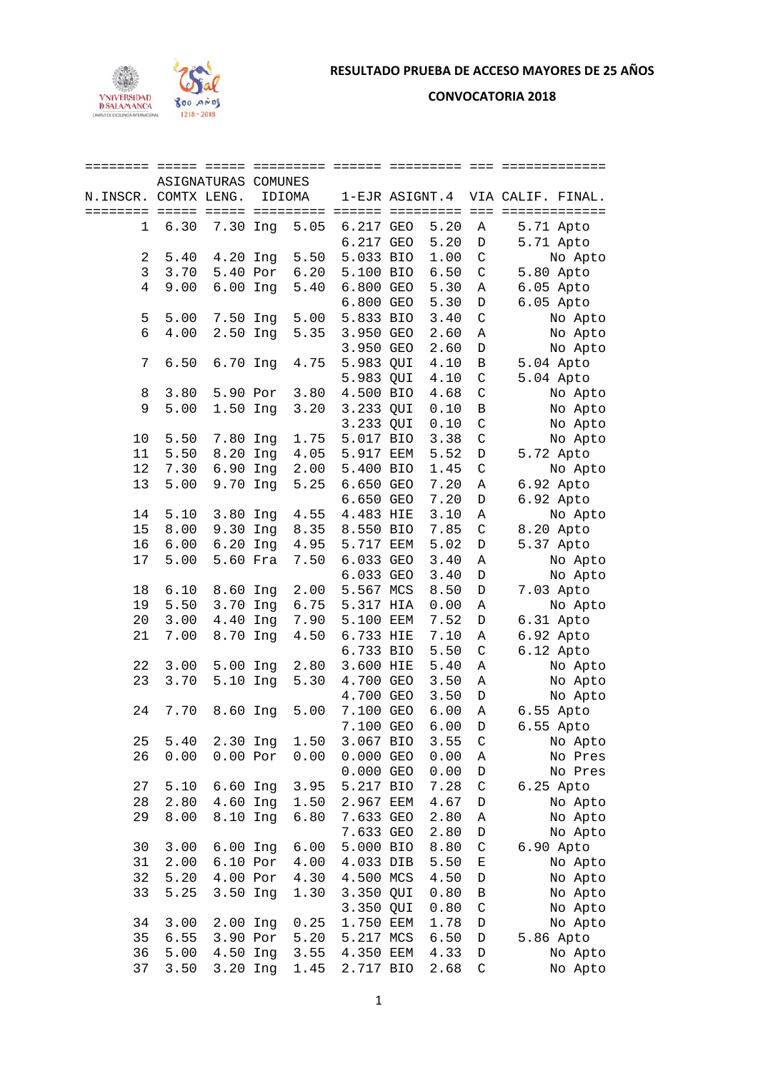

**CONVOCATORIA 2018** 

| ======== ===== =====  |      | ASIGNATURAS COMUNES |     | ========= |                  | ========= |              | =============     |
|-----------------------|------|---------------------|-----|-----------|------------------|-----------|--------------|-------------------|
| N. INSCR. COMTX LENG. |      |                     |     | IDIOMA    | 1-EJR ASIGNT.4   |           |              | VIA CALIF. FINAL. |
| ========              |      |                     |     | ========= | ====== ========= |           | $=$ $=$ $=$  | =============     |
| 1                     | 6.30 | 7.30 Ing            |     | 5.05      | 6.217 GEO        | 5.20      |              |                   |
|                       |      |                     |     |           |                  |           | Α            | 5.71 Apto         |
|                       |      |                     |     |           | 6.217 GEO        | 5.20      | D            | 5.71 Apto         |
| 2                     | 5.40 | 4.20 Ing            |     | 5.50      | 5.033 BIO        | 1.00      | $\mathsf C$  | No Apto           |
| 3                     | 3.70 | 5.40 Por            |     | 6.20      | 5.100 BIO        | 6.50      | $\mathsf C$  | 5.80 Apto         |
| 4                     | 9.00 | $6.00$ Inq          |     | 5.40      | 6.800 GEO        | 5.30      | Α            | 6.05 Apto         |
|                       |      |                     |     |           | 6.800 GEO        | 5.30      | D            | 6.05 Apto         |
| 5                     | 5.00 | 7.50 Ing            |     | 5.00      | 5.833 BIO        | 3.40      | $\mathsf C$  | No Apto           |
| 6                     | 4.00 | 2.50 Ing            |     | 5.35      | 3.950 GEO        | 2.60      | Α            | No Apto           |
|                       |      |                     |     |           | 3.950 GEO        | 2.60      | $\mathbb D$  | No Apto           |
| 7                     | 6.50 | 6.70 Ing            |     | 4.75      | 5.983 QUI        | 4.10      | В            | 5.04 Apto         |
|                       |      |                     |     |           | 5.983 QUI        | 4.10      | $\mathsf C$  | 5.04 Apto         |
| 8                     | 3.80 | 5.90 Por            |     | 3.80      | 4.500 BIO        | 4.68      | $\mathsf C$  | No Apto           |
| 9                     | 5.00 | 1.50 Ing            |     | 3.20      | 3.233 QUI        | 0.10      | $\, {\bf B}$ | No Apto           |
|                       |      |                     |     |           | 3.233 QUI        | 0.10      | $\mathsf C$  | No Apto           |
| 10                    | 5.50 | 7.80 Ing            |     | 1.75      | 5.017 BIO        | 3.38      | $\mathsf C$  | No Apto           |
| 11                    | 5.50 | 8.20 Ing            |     | 4.05      | 5.917 EEM        | 5.52      | D            | 5.72 Apto         |
| 12                    | 7.30 | 6.90 Ing            |     | 2.00      | 5.400 BIO        | 1.45      | $\mathsf C$  | No Apto           |
| 13                    | 5.00 | 9.70 Ing            |     | 5.25      | 6.650 GEO        | 7.20      | Α            | 6.92 Apto         |
|                       |      |                     |     |           | 6.650 GEO        | 7.20      | $\mathbb D$  | 6.92 Apto         |
| 14                    | 5.10 | 3.80                | Ing | 4.55      | 4.483 HIE        | 3.10      | Α            | No Apto           |
| 15                    | 8.00 | 9.30                | Ing | 8.35      | 8.550 BIO        | 7.85      | $\mathsf C$  | 8.20 Apto         |
| 16                    | 6.00 | 6.20 Ing            |     | 4.95      | 5.717 EEM        | 5.02      | D            | 5.37 Apto         |
| 17                    | 5.00 | 5.60 Fra            |     | 7.50      | 6.033 GEO        | 3.40      | Α            | No Apto           |
|                       |      |                     |     |           | 6.033 GEO        | 3.40      | $\mathbb D$  | No Apto           |
| 18                    | 6.10 | 8.60 Ing            |     | 2.00      | 5.567 MCS        | 8.50      | D            | 7.03 Apto         |
| 19                    | 5.50 | 3.70                | Ing | 6.75      | 5.317 HIA        | 0.00      | Α            | No Apto           |
| 20                    | 3.00 | 4.40                | Ing | 7.90      | 5.100 EEM        | 7.52      | D            | 6.31 Apto         |
| 21                    | 7.00 | 8.70 Ing            |     | 4.50      | 6.733 HIE        | 7.10      | Α            | 6.92 Apto         |
|                       |      |                     |     |           | 6.733 BIO        | 5.50      | $\mathsf C$  | 6.12 Apto         |
| 22                    | 3.00 | 5.00 Ing            |     | 2.80      | 3.600 HIE        | 5.40      | Α            | No Apto           |
| 23                    | 3.70 | 5.10 Ing            |     | 5.30      | 4.700 GEO        | 3.50      | Α            | No Apto           |
|                       |      |                     |     |           | 4.700 GEO        | 3.50      | D            | No Apto           |
| 24                    | 7.70 | 8.60 Ing            |     | 5.00      | 7.100 GEO        | 6.00      | Α            | 6.55 Apto         |
|                       |      |                     |     |           | 7.100 GEO        | 6.00      | D            | 6.55 Apto         |
| 25                    | 5.40 | 2.30 Ing            |     | 1.50      | 3.067 BIO        | 3.55      | C            | No Apto           |
| 26                    | 0.00 | $0.00$ Por          |     | 0.00      | 0.000 GEO        | 0.00      | Α            | No Pres           |
|                       |      |                     |     |           | $0.000$ GEO      | 0.00      | D            | No Pres           |
| 27                    | 5.10 | 6.60 Ing            |     | 3.95      | 5.217 BIO        | 7.28      | $\mathsf C$  | 6.25 Apto         |
| 28                    | 2.80 | 4.60 Ing            |     | 1.50      | 2.967 EEM        | 4.67      | D            | No Apto           |
| 29                    | 8.00 | 8.10 Ing            |     | 6.80      | 7.633 GEO        | 2.80      | Α            | No Apto           |
|                       |      |                     |     |           | 7.633 GEO        | 2.80      | D            | No Apto           |
| 30                    | 3.00 | 6.00 Ing            |     | 6.00      | 5.000 BIO        | 8.80      | $\mathsf C$  | 6.90 Apto         |
| 31                    | 2.00 | 6.10 Por            |     | 4.00      | 4.033 DIB        | 5.50      | Е            | No Apto           |
| 32                    | 5.20 | 4.00 Por            |     | 4.30      | 4.500 MCS        | 4.50      | D            | No Apto           |
| 33                    | 5.25 | 3.50 Ing            |     | 1.30      | 3.350 QUI        | 0.80      | B            | No Apto           |
|                       |      |                     |     |           | 3.350 QUI        | 0.80      | $\mathsf C$  | No Apto           |
| 34                    | 3.00 | 2.00 Ing            |     | 0.25      | 1.750 EEM        | 1.78      | D            | No Apto           |
| 35                    | 6.55 | 3.90 Por            |     | 5.20      | 5.217 MCS        | 6.50      | D            | 5.86 Apto         |
| 36                    | 5.00 | 4.50 Ing            |     | 3.55      | 4.350 EEM        | 4.33      | D            | No Apto           |
| 37                    | 3.50 | 3.20 Ing            |     | 1.45      | 2.717 BIO        | 2.68      | $\mathsf C$  | No Apto           |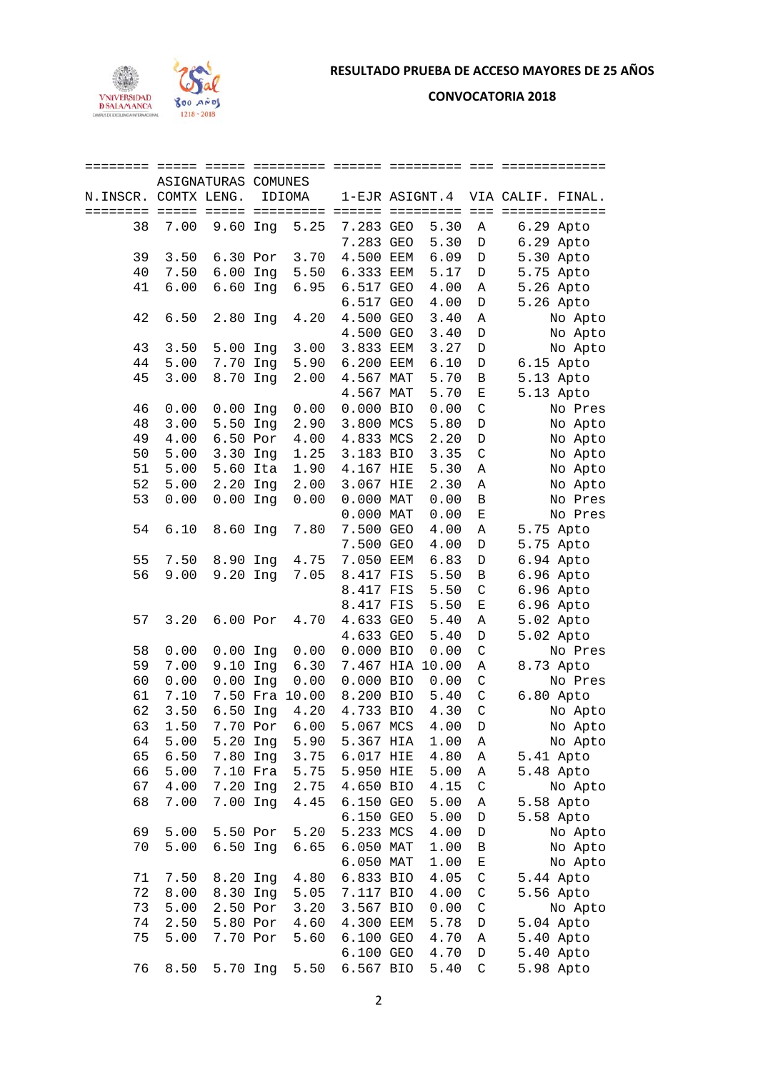

**CONVOCATORIA 2018** 

| ======== ===== ===== |             | ASIGNATURAS COMUNES |     | =========      |                  |                | ========        |              | =============     |
|----------------------|-------------|---------------------|-----|----------------|------------------|----------------|-----------------|--------------|-------------------|
| N.INSCR.             | COMTX LENG. |                     |     | IDIOMA         |                  | 1-EJR ASIGNT.4 |                 |              | VIA CALIF. FINAL. |
| ========             |             |                     |     | =========      | ====== ========= |                |                 |              | === ============= |
| 38                   | 7.00        | 9.60 Ing            |     | 5.25           | 7.283 GEO        |                | 5.30            | Α            | 6.29 Apto         |
|                      |             |                     |     |                | 7.283 GEO        |                | 5.30            | $\mathbb D$  | 6.29 Apto         |
| 39                   | 3.50        | 6.30 Por            |     | 3.70           | 4.500 EEM        |                | 6.09            | $\mathbb D$  | 5.30 Apto         |
| 40                   | 7.50        | $6.00$ Ing          |     | 5.50           | 6.333 EEM        |                | 5.17            | $\mathbb D$  | 5.75 Apto         |
| 41                   | 6.00        | $6.60$ Inq          |     | 6.95           | 6.517 GEO        |                | 4.00            | Α            | 5.26 Apto         |
|                      |             |                     |     |                | 6.517 GEO        |                | 4.00            | $\mathbb D$  | 5.26 Apto         |
| 42                   | 6.50        | 2.80 Ing            |     | 4.20           | 4.500 GEO        |                | 3.40            | Α            | No Apto           |
|                      |             |                     |     |                | 4.500 GEO        |                | 3.40            | $\mathbb D$  | No Apto           |
| 43                   | 3.50        | 5.00 Ing            |     | 3.00           | 3.833 EEM        |                | 3.27            | $\mathbb D$  | No Apto           |
| 44                   | 5.00        | 7.70 Ing            |     | 5.90           | 6.200 EEM        |                | 6.10            | $\mathbb D$  | 6.15 Apto         |
| 45                   | 3.00        | 8.70 Ing            |     | 2.00           | 4.567 MAT        |                | 5.70            | $\, {\bf B}$ | 5.13 Apto         |
|                      |             |                     |     |                | 4.567 MAT        |                | 5.70            | $\mathbf E$  | 5.13 Apto         |
| 46                   | 0.00        | $0.00$ Ing          |     | 0.00           | 0.000 BIO        |                | 0.00            | $\mathsf C$  | No Pres           |
| 48                   | 3.00        | 5.50 Ing            |     | 2.90           | 3.800 MCS        |                | 5.80            | $\mathbb D$  |                   |
| 49                   | 4.00        | 6.50 Por            |     | 4.00           |                  |                | 2.20            | $\mathbb D$  | No Apto           |
| 50                   | 5.00        | 3.30 Ing            |     | 1.25           | 4.833 MCS        |                |                 |              | No Apto           |
|                      |             |                     |     |                | 3.183 BIO        |                | 3.35            | $\mathsf C$  | No Apto           |
| 51                   | 5.00        | 5.60 Ita            |     | 1.90           | 4.167 HIE        |                | 5.30            | Α            | No Apto           |
| 52                   | 5.00        | 2.20                | Ing | 2.00           | 3.067 HIE        |                | 2.30            | Α            | No Apto           |
| 53                   | 0.00        | $0.00$ Ing          |     | 0.00           | 0.000 MAT        |                | 0.00            | $\, {\bf B}$ | No Pres           |
|                      |             |                     |     |                | 0.000 MAT        |                | 0.00            | $\mathbf E$  | No Pres           |
| 54                   | 6.10        | 8.60 Ing            |     | 7.80           | 7.500 GEO        |                | 4.00            | Α            | 5.75 Apto         |
|                      |             |                     |     |                | 7.500 GEO        |                | 4.00            | D            | 5.75 Apto         |
| 55                   | 7.50        | 8.90 Ing            |     | 4.75           | 7.050 EEM        |                | 6.83            | D            | 6.94 Apto         |
| 56                   | 9.00        | 9.20 Ing            |     | 7.05           | 8.417 FIS        |                | 5.50            | B            | 6.96 Apto         |
|                      |             |                     |     |                | 8.417 FIS        |                | 5.50            | $\mathsf C$  | 6.96 Apto         |
|                      |             |                     |     |                | 8.417 FIS        |                | 5.50            | $\mathbf E$  | 6.96 Apto         |
| 57                   | 3.20        | $6.00$ Por          |     | 4.70           | 4.633 GEO        |                | 5.40            | Α            | 5.02 Apto         |
|                      |             |                     |     |                | 4.633 GEO        |                | 5.40            | $\mathbb D$  | 5.02 Apto         |
| 58                   | 0.00        | $0.00$ Ing          |     | 0.00           | 0.000 BIO        |                | 0.00            | $\mathsf C$  | No Pres           |
| 59                   | 7.00        | 9.10 Ing            |     | 6.30           |                  |                | 7.467 HIA 10.00 | Α            | 8.73 Apto         |
| 60                   | 0.00        | $0.00$ Ing          |     | 0.00           | 0.000 BIO        |                | 0.00            | $\rm C$      | No Pres           |
| 61                   | 7.10        |                     |     | 7.50 Fra 10.00 | 8.200 BIO        |                | 5.40            | $\rm C$      | 6.80 Apto         |
| 62                   | 3.50        | 6.50 Ing            |     | 4.20           | 4.733 BIO        |                | 4.30            | $\mathsf C$  | No Apto           |
| 63                   | 1.50        |                     |     | 7.70 Por 6.00  | 5.067 MCS        |                | 4.00            | D            | No Apto           |
| 64                   | 5.00        | 5.20 Ing            |     | 5.90           | 5.367 HIA        |                | 1.00            | Α            | No Apto           |
| 65                   | 6.50        | 7.80 Ing            |     | 3.75           | 6.017 HIE        |                | 4.80            | Α            | 5.41 Apto         |
| 66                   | 5.00        | 7.10 Fra            |     | 5.75           | 5.950 HIE        |                | 5.00            | Α            | 5.48 Apto         |
| 67                   | 4.00        | 7.20 Ing            |     | 2.75           | 4.650 BIO        |                | 4.15            | $\mathsf C$  | No Apto           |
| 68                   | 7.00        | 7.00 Ing            |     | 4.45           | 6.150 GEO        |                | 5.00            | Α            | 5.58 Apto         |
|                      |             |                     |     |                | 6.150 GEO        |                | 5.00            | D            | 5.58 Apto         |
| 69                   | 5.00        | 5.50 Por            |     | 5.20           | 5.233 MCS        |                | 4.00            | D            | No Apto           |
| 70                   | 5.00        | $6.50$ Ing          |     | 6.65           | 6.050 MAT        |                | 1.00            | В            | No Apto           |
|                      |             |                     |     |                | 6.050 MAT        |                | 1.00            | Е            | No Apto           |
| 71                   | 7.50        | 8.20 Ing            |     | 4.80           | 6.833 BIO        |                | 4.05            | $\mathsf C$  | 5.44 Apto         |
| 72                   | 8.00        | 8.30 Ing            |     | 5.05           | 7.117 BIO        |                | 4.00            | $\mathsf C$  | 5.56 Apto         |
| 73                   | 5.00        | 2.50 Por            |     | 3.20           | 3.567 BIO        |                | 0.00            | $\mathsf C$  | No Apto           |
| 74                   | 2.50        | 5.80 Por            |     | 4.60           | 4.300 EEM        |                | 5.78            | D            | 5.04 Apto         |
| 75                   | 5.00        | 7.70 Por            |     | 5.60           | 6.100 GEO        |                | 4.70            | Α            | 5.40 Apto         |
|                      |             |                     |     |                | 6.100 GEO        |                | 4.70            | D            | 5.40 Apto         |
| 76                   | 8.50        | 5.70 Ing            |     | 5.50           | 6.567 BIO        |                | 5.40            | C            | 5.98 Apto         |